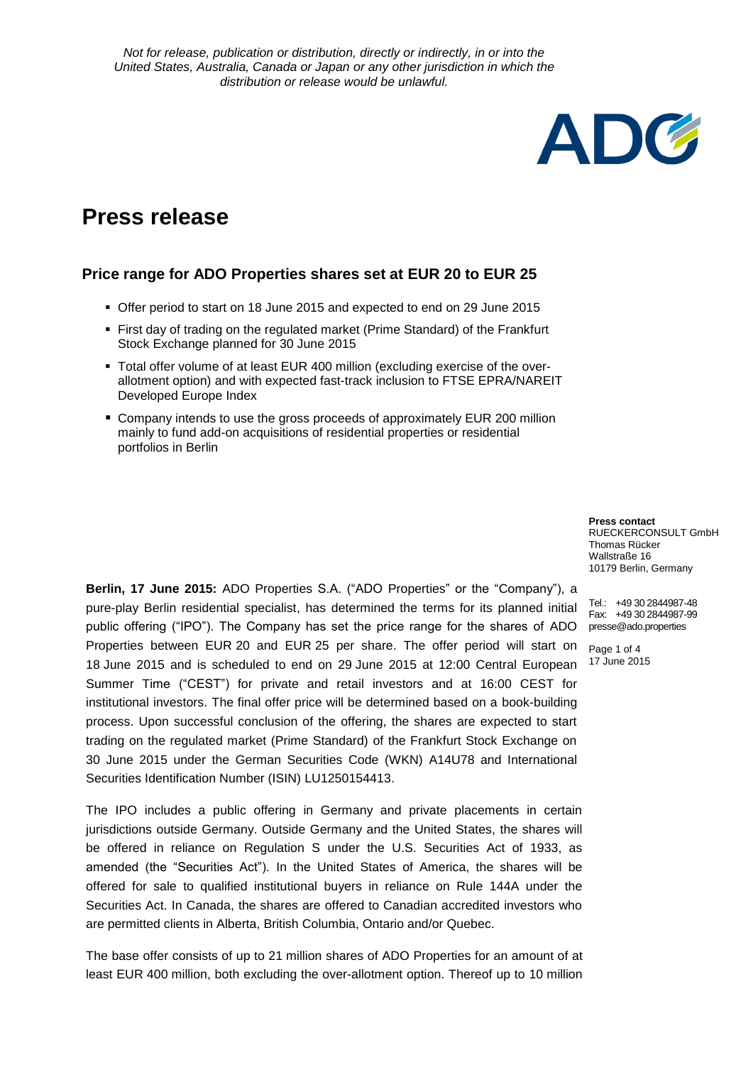# **Press release**

## **Price range for ADO Properties shares set at EUR 20 to EUR 25**

- Offer period to start on 18 June 2015 and expected to end on 29 June 2015
- First day of trading on the regulated market (Prime Standard) of the Frankfurt Stock Exchange planned for 30 June 2015
- Total offer volume of at least EUR 400 million (excluding exercise of the overallotment option) and with expected fast-track inclusion to FTSE EPRA/NAREIT Developed Europe Index
- Company intends to use the gross proceeds of approximately EUR 200 million mainly to fund add-on acquisitions of residential properties or residential portfolios in Berlin

public offering ("IPO"). The Company has set the price range for the shares of ADO presse@ado.properties **Berlin, 17 June 2015:** ADO Properties S.A. ("ADO Properties" or the "Company"), a pure-play Berlin residential specialist, has determined the terms for its planned initial Properties between EUR 20 and EUR 25 per share. The offer period will start on 18 June 2015 and is scheduled to end on 29 June 2015 at 12:00 Central European Summer Time ("CEST") for private and retail investors and at 16:00 CEST for institutional investors. The final offer price will be determined based on a book-building process. Upon successful conclusion of the offering, the shares are expected to start trading on the regulated market (Prime Standard) of the Frankfurt Stock Exchange on 30 June 2015 under the German Securities Code (WKN) A14U78 and International Securities Identification Number (ISIN) LU1250154413.

The IPO includes a public offering in Germany and private placements in certain jurisdictions outside Germany. Outside Germany and the United States, the shares will be offered in reliance on Regulation S under the U.S. Securities Act of 1933, as amended (the "Securities Act"). In the United States of America, the shares will be offered for sale to qualified institutional buyers in reliance on Rule 144A under the Securities Act. In Canada, the shares are offered to Canadian accredited investors who are permitted clients in Alberta, British Columbia, Ontario and/or Quebec.

The base offer consists of up to 21 million shares of ADO Properties for an amount of at least EUR 400 million, both excluding the over-allotment option. Thereof up to 10 million

**ADG** 

**Press contact** RUECKERCONSULT GmbH Thomas Rücker Wallstraße 16 10179 Berlin, Germany

Tel.: +49 30 2844987-48 Fax: +49 30 2844987-99

Page 1 of 4 17 June 2015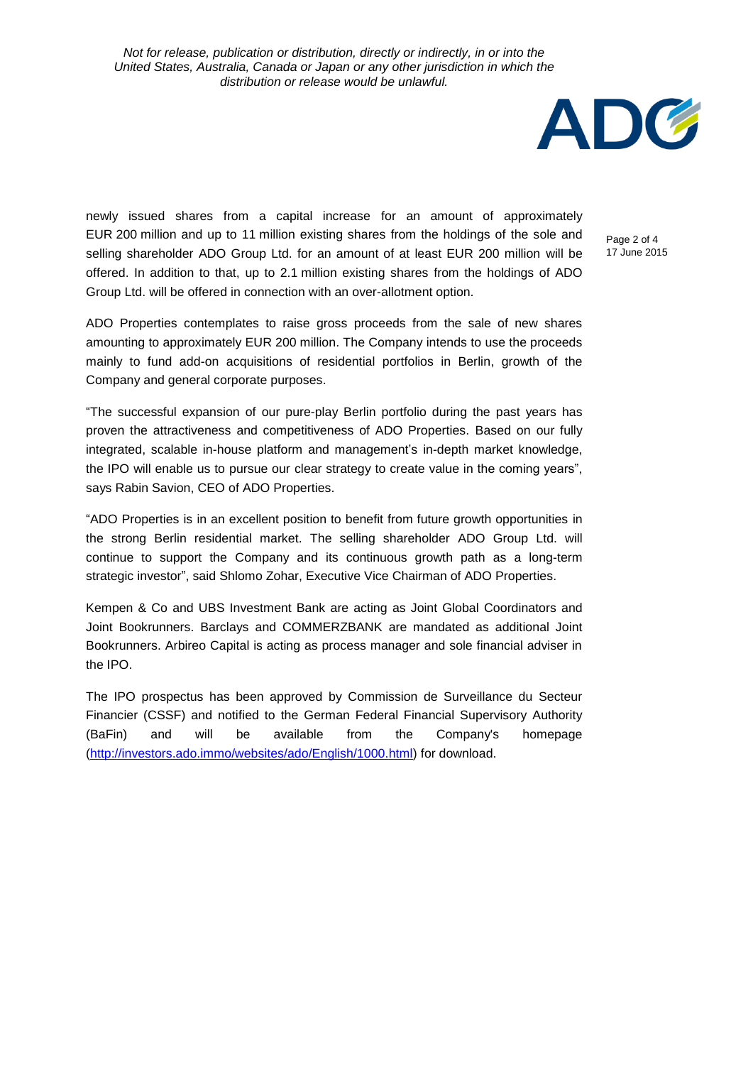

newly issued shares from a capital increase for an amount of approximately EUR 200 million and up to 11 million existing shares from the holdings of the sole and selling shareholder ADO Group Ltd. for an amount of at least EUR 200 million will be offered. In addition to that, up to 2.1 million existing shares from the holdings of ADO Group Ltd. will be offered in connection with an over-allotment option.

Page 2 of 4 17 June 2015

ADO Properties contemplates to raise gross proceeds from the sale of new shares amounting to approximately EUR 200 million. The Company intends to use the proceeds mainly to fund add-on acquisitions of residential portfolios in Berlin, growth of the Company and general corporate purposes.

"The successful expansion of our pure-play Berlin portfolio during the past years has proven the attractiveness and competitiveness of ADO Properties. Based on our fully integrated, scalable in-house platform and management's in-depth market knowledge, the IPO will enable us to pursue our clear strategy to create value in the coming years", says Rabin Savion, CEO of ADO Properties.

"ADO Properties is in an excellent position to benefit from future growth opportunities in the strong Berlin residential market. The selling shareholder ADO Group Ltd. will continue to support the Company and its continuous growth path as a long-term strategic investor", said Shlomo Zohar, Executive Vice Chairman of ADO Properties.

Kempen & Co and UBS Investment Bank are acting as Joint Global Coordinators and Joint Bookrunners. Barclays and COMMERZBANK are mandated as additional Joint Bookrunners. Arbireo Capital is acting as process manager and sole financial adviser in the IPO.

The IPO prospectus has been approved by Commission de Surveillance du Secteur Financier (CSSF) and notified to the German Federal Financial Supervisory Authority (BaFin) and will be available from the Company's homepage [\(http://investors.ado.immo/websites/ado/English/1000.html\)](http://investors.ado.immo/websites/ado/English/1000.html) for download.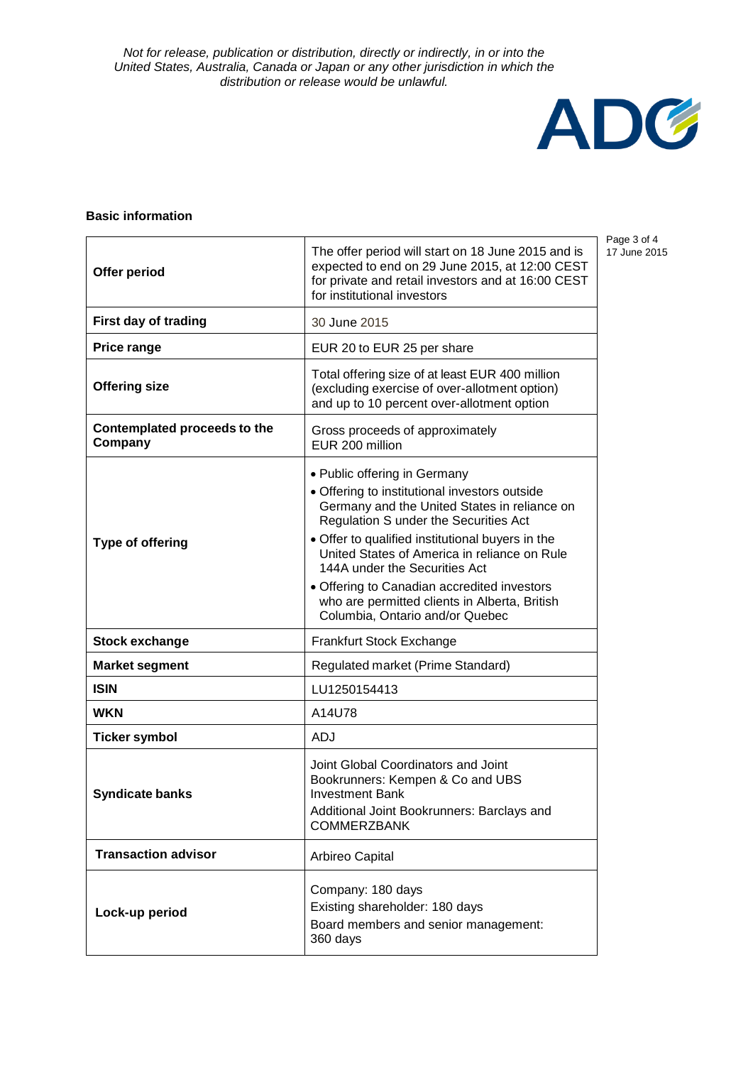

## **Basic information**

| Offer period                            | The offer period will start on 18 June 2015 and is<br>expected to end on 29 June 2015, at 12:00 CEST<br>for private and retail investors and at 16:00 CEST<br>for institutional investors                                                                                                                                                                                                                                                      |
|-----------------------------------------|------------------------------------------------------------------------------------------------------------------------------------------------------------------------------------------------------------------------------------------------------------------------------------------------------------------------------------------------------------------------------------------------------------------------------------------------|
| First day of trading                    | 30 June 2015                                                                                                                                                                                                                                                                                                                                                                                                                                   |
| Price range                             | EUR 20 to EUR 25 per share                                                                                                                                                                                                                                                                                                                                                                                                                     |
| <b>Offering size</b>                    | Total offering size of at least EUR 400 million<br>(excluding exercise of over-allotment option)<br>and up to 10 percent over-allotment option                                                                                                                                                                                                                                                                                                 |
| Contemplated proceeds to the<br>Company | Gross proceeds of approximately<br>EUR 200 million                                                                                                                                                                                                                                                                                                                                                                                             |
| <b>Type of offering</b>                 | • Public offering in Germany<br>• Offering to institutional investors outside<br>Germany and the United States in reliance on<br>Regulation S under the Securities Act<br>• Offer to qualified institutional buyers in the<br>United States of America in reliance on Rule<br>144A under the Securities Act<br>• Offering to Canadian accredited investors<br>who are permitted clients in Alberta, British<br>Columbia, Ontario and/or Quebec |
| <b>Stock exchange</b>                   | Frankfurt Stock Exchange                                                                                                                                                                                                                                                                                                                                                                                                                       |
| <b>Market segment</b>                   | Regulated market (Prime Standard)                                                                                                                                                                                                                                                                                                                                                                                                              |
| <b>ISIN</b>                             | LU1250154413                                                                                                                                                                                                                                                                                                                                                                                                                                   |
| <b>WKN</b>                              | A14U78                                                                                                                                                                                                                                                                                                                                                                                                                                         |
| <b>Ticker symbol</b>                    | ADJ                                                                                                                                                                                                                                                                                                                                                                                                                                            |
| <b>Syndicate banks</b>                  | Joint Global Coordinators and Joint<br>Bookrunners: Kempen & Co and UBS<br><b>Investment Bank</b><br>Additional Joint Bookrunners: Barclays and<br><b>COMMERZBANK</b>                                                                                                                                                                                                                                                                          |
| <b>Transaction advisor</b>              | Arbireo Capital                                                                                                                                                                                                                                                                                                                                                                                                                                |
| Lock-up period                          | Company: 180 days<br>Existing shareholder: 180 days<br>Board members and senior management:<br>360 days                                                                                                                                                                                                                                                                                                                                        |

Page 3 of 4 17 June 2015